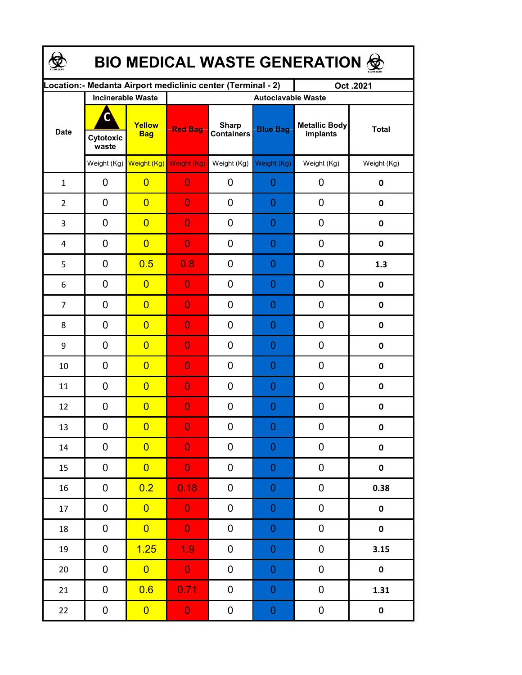| BIO MEDICAL WASTE GENERATION & |                          |                                     |                                                             |                                   |                  |                                  |              |  |  |  |
|--------------------------------|--------------------------|-------------------------------------|-------------------------------------------------------------|-----------------------------------|------------------|----------------------------------|--------------|--|--|--|
|                                |                          |                                     | Location:- Medanta Airport mediclinic center (Terminal - 2) |                                   |                  | Oct.2021                         |              |  |  |  |
|                                | <b>Incinerable Waste</b> |                                     | <b>Autoclavable Waste</b>                                   |                                   |                  |                                  |              |  |  |  |
| <b>Date</b>                    | C<br>Cytotoxic<br>waste  | Yellow<br><b>Bag</b>                | <b>Red Bag</b>                                              | <b>Sharp</b><br><b>Containers</b> | <b>Blue Bag</b>  | <b>Metallic Body</b><br>implants | <b>Total</b> |  |  |  |
|                                |                          | Weight (Kg) Weight (Kg) Weight (Kg) |                                                             | Weight (Kg)                       | Weight (Kg)      | Weight (Kg)                      | Weight (Kg)  |  |  |  |
| $\mathbf{1}$                   | 0                        | $\overline{0}$                      | $\overline{0}$                                              | 0                                 | $\mathbf 0$      | 0                                | $\pmb{0}$    |  |  |  |
| $\overline{2}$                 | 0                        | $\overline{0}$                      | $\overline{0}$                                              | 0                                 | $\overline{0}$   | $\mathbf 0$                      | 0            |  |  |  |
| 3                              | 0                        | $\overline{0}$                      | $\overline{0}$                                              | 0                                 | $\overline{0}$   | 0                                | 0            |  |  |  |
| 4                              | 0                        | $\overline{0}$                      | $\overline{0}$                                              | 0                                 | $\overline{0}$   | $\mathbf 0$                      | $\mathbf 0$  |  |  |  |
| 5                              | 0                        | 0.5                                 | 0.8                                                         | 0                                 | $\overline{0}$   | $\mathbf 0$                      | 1.3          |  |  |  |
| 6                              | 0                        | $\overline{0}$                      | 0                                                           | 0                                 | $\overline{0}$   | 0                                | $\pmb{0}$    |  |  |  |
| $\overline{7}$                 | 0                        | $\overline{0}$                      | 0                                                           | 0                                 | $\overline{0}$   | 0                                | 0            |  |  |  |
| 8                              | 0                        | $\overline{0}$                      | 0                                                           | 0                                 | $\overline{0}$   | $\mathbf 0$                      | 0            |  |  |  |
| 9                              | $\mathbf 0$              | $\overline{0}$                      | 0                                                           | 0                                 | $\overline{0}$   | 0                                | 0            |  |  |  |
| 10                             | 0                        | $\overline{0}$                      | $\overline{0}$                                              | 0                                 | $\overline{0}$   | 0                                | 0            |  |  |  |
| 11                             | $\overline{0}$           | $\overline{0}$                      | $\overline{0}$                                              | 0                                 | $\overline{0}$   | $\mathbf 0$                      | 0            |  |  |  |
| 12                             | 0                        | $\overline{0}$                      | $\overline{0}$                                              | 0                                 | $\overline{0}$   | $\mathbf 0$                      | $\pmb{0}$    |  |  |  |
| 13                             | 0                        | $\overline{0}$                      | $\Omega$                                                    | 0                                 | $\Omega$         | 0                                | 0            |  |  |  |
| 14                             | 0                        | $\overline{0}$                      | $\overline{0}$                                              | 0                                 | $\boldsymbol{0}$ | 0                                | 0            |  |  |  |
| 15                             | 0                        | $\overline{0}$                      | $\overline{0}$                                              | $\pmb{0}$                         | $\boldsymbol{0}$ | $\pmb{0}$                        | $\pmb{0}$    |  |  |  |
| 16                             | 0                        | 0.2                                 | 0.18                                                        | 0                                 | $\boldsymbol{0}$ | 0                                | 0.38         |  |  |  |
| 17                             | 0                        | $\overline{0}$                      | $\bf 0$                                                     | $\pmb{0}$                         | $\boldsymbol{0}$ | 0                                | $\pmb{0}$    |  |  |  |
| 18                             | $\mathbf 0$              | $\overline{0}$                      | $\overline{0}$                                              | 0                                 | $\boldsymbol{0}$ | 0                                | $\pmb{0}$    |  |  |  |
| 19                             | 0                        | 1.25                                | 1.9                                                         | 0                                 | $\boldsymbol{0}$ | 0                                | 3.15         |  |  |  |
| 20                             | 0                        | $\overline{0}$                      | $\mathbf{0}$                                                | 0                                 | $\boldsymbol{0}$ | 0                                | $\pmb{0}$    |  |  |  |
| 21                             | 0                        | 0.6                                 | 0.71                                                        | $\pmb{0}$                         | $\boldsymbol{0}$ | $\pmb{0}$                        | 1.31         |  |  |  |
| 22                             | $\mathbf 0$              | $\overline{0}$                      | $\mathbf{O}^+$                                              | $\boldsymbol{0}$                  | $\overline{0}$   | $\pmb{0}$                        | $\pmb{0}$    |  |  |  |